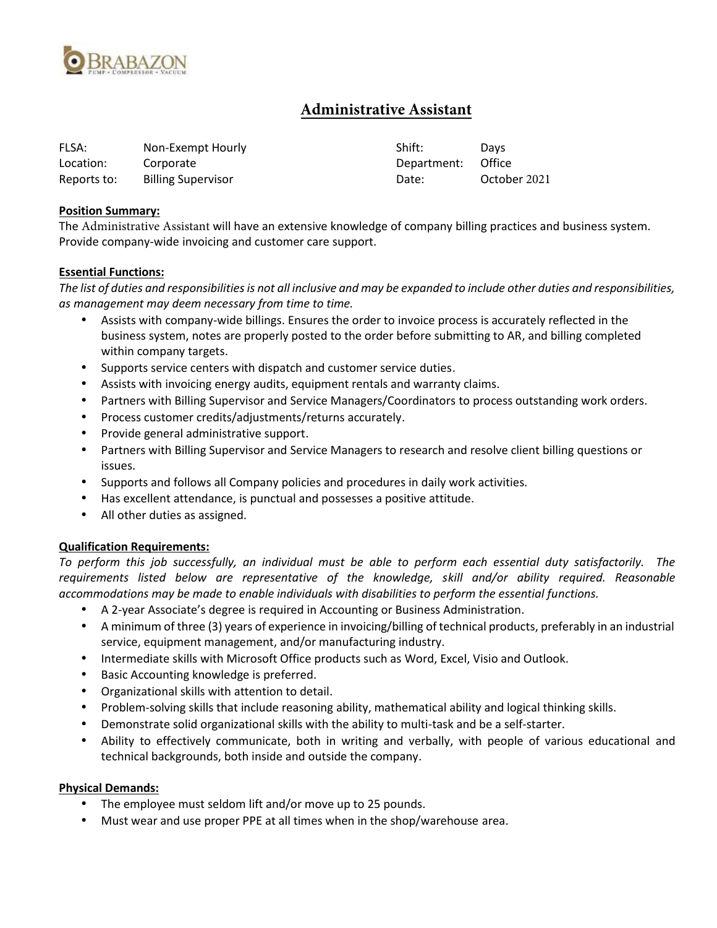

# **Administrative Assistant**

| FLSA:       | Non-Exempt Hourly         | Shift:      | Davs         |
|-------------|---------------------------|-------------|--------------|
| Location:   | Corporate                 | Department: | Office       |
| Reports to: | <b>Billing Supervisor</b> | Date:       | October 2021 |

### **Position Summary:**

The Administrative Assistant will have an extensive knowledge of company billing practices and business system. Provide company-wide invoicing and customer care support.

#### **Essential Functions:**

*The list of duties and responsibilities is not all inclusive and may be expanded to include other duties and responsibilities, as management may deem necessary from time to time.*

- Assists with company-wide billings. Ensures the order to invoice process is accurately reflected in the business system, notes are properly posted to the order before submitting to AR, and billing completed within company targets.
- Supports service centers with dispatch and customer service duties.
- Assists with invoicing energy audits, equipment rentals and warranty claims.
- Partners with Billing Supervisor and Service Managers/Coordinators to process outstanding work orders.
- Process customer credits/adjustments/returns accurately.
- Provide general administrative support.
- Partners with Billing Supervisor and Service Managers to research and resolve client billing questions or issues.
- Supports and follows all Company policies and procedures in daily work activities.
- Has excellent attendance, is punctual and possesses a positive attitude.
- All other duties as assigned.

### **Qualification Requirements:**

*To perform this job successfully, an individual must be able to perform each essential duty satisfactorily. The requirements listed below are representative of the knowledge, skill and/or ability required. Reasonable accommodations may be made to enable individuals with disabilities to perform the essential functions.*

- A 2-year Associate's degree is required in Accounting or Business Administration.
- A minimum of three (3) years of experience in invoicing/billing of technical products, preferably in an industrial service, equipment management, and/or manufacturing industry.
- Intermediate skills with Microsoft Office products such as Word, Excel, Visio and Outlook.
- Basic Accounting knowledge is preferred.
- Organizational skills with attention to detail.
- Problem-solving skills that include reasoning ability, mathematical ability and logical thinking skills.
- Demonstrate solid organizational skills with the ability to multi-task and be a self-starter.
- Ability to effectively communicate, both in writing and verbally, with people of various educational and technical backgrounds, both inside and outside the company.

### **Physical Demands:**

- The employee must seldom lift and/or move up to 25 pounds.
- Must wear and use proper PPE at all times when in the shop/warehouse area.